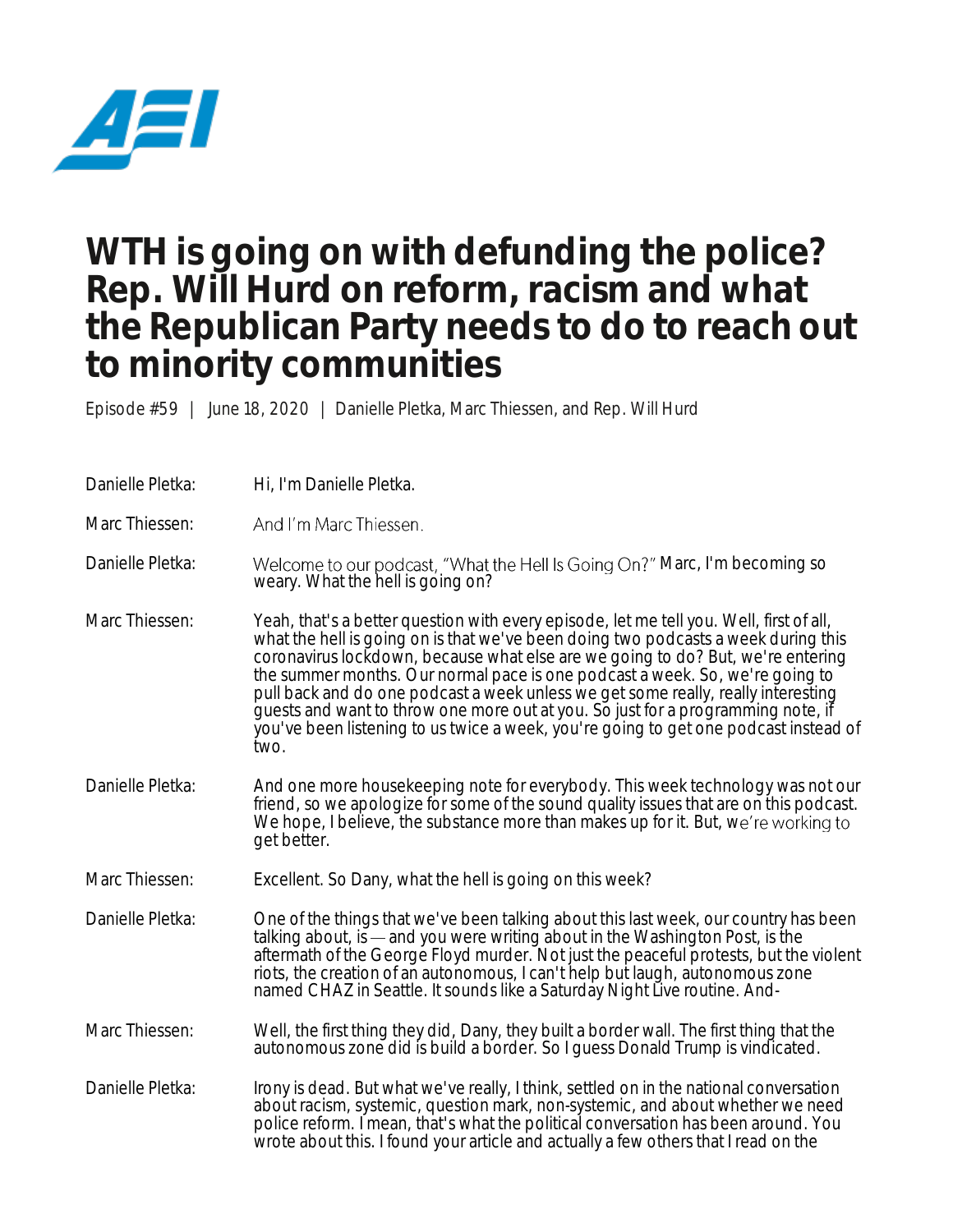

## **WTH is going on with defunding the police? Rep. Will Hurd on reform, racism and what the Republican Party needs to do to reach out to minority communities**

Episode #59 | June 18, 2020 | Danielle Pletka, Marc Thiessen, and Rep. Will Hurd

Danielle Pletka: Hi, I'm Danielle Pletka.

Marc Thiessen: And I'm Marc Thiessen.

Danielle Pletka: Welcome to our podcast, "What the Hell Is Going On?" Marc, I'm becoming so weary. What the hell is going on?

- Marc Thiessen: Yeah, that's a better question with every episode, let me tell you. Well, first of all, what the hell is going on is that we've been doing two podcasts a week during this coronavirus lockdown, because what else are we going to do? But, we're entering the summer months. Our normal pace is one podcast a week. So, we're going to pull back and do one podcast a week unless we get some really, really interesting guests and want to throw one more out at you. So just for a programming note, if you've been listening to us twice a week, you're going to get one podcast instead of two.
- Danielle Pletka: And one more housekeeping note for everybody. This week technology was not our friend, so we apologize for some of the sound quality issues that are on this podcast. We hope, I believe, the substance more than makes up for it. But, we're working to get better.
- Marc Thiessen: Excellent. So Dany, what the hell is going on this week?

Danielle Pletka: One of the things that we've been talking about this last week, our country has been talking about, is — and you were writing about in the Washington Post, is the aftermath of the George Floyd murder. Not just the peaceful protests, but the violent riots, the creation of an autonomous, I can't help but laugh, autonomous zone named CHAZ in Seattle. It sounds like a Saturday Night Live routine. And-

Marc Thiessen: Well, the first thing they did, Dany, they built a border wall. The first thing that the autonomous zone did is build a border. So I guess Donald Trump is vindicated.

Danielle Pletka: Irony is dead. But what we've really, I think, settled on in the national conversation about racism, systemic, question mark, non-systemic, and about whether we need police reform. I mean, that's what the political conversation has been around. You wrote about this. I found your article and actually a few others that I read on the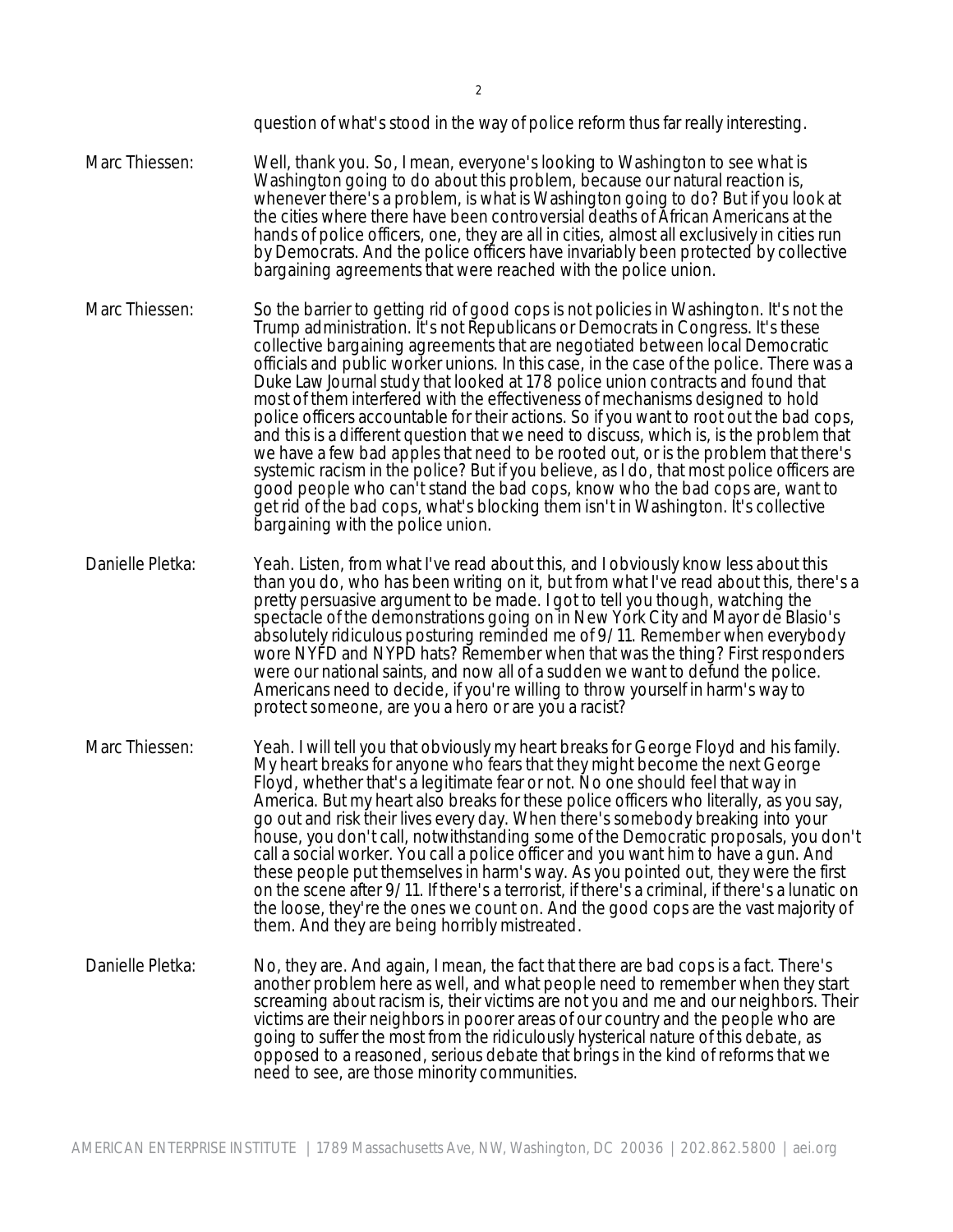question of what's stood in the way of police reform thus far really interesting.

- Marc Thiessen: Well, thank you. So, I mean, everyone's looking to Washington to see what is Washington going to do about this problem, because our natural reaction is, whenever there's a problem, is what is Washington going to do? But if you look at the cities where there have been controversial deaths of African Americans at the hands of police officers, one, they are all in cities, almost all exclusively in cities run by Democrats. And the police officers have invariably been protected by collective bargaining agreements that were reached with the police union.
- Marc Thiessen: So the barrier to getting rid of good cops is not policies in Washington. It's not the Trump administration. It's not Republicans or Democrats in Congress. It's these collective bargaining agreements that are negotiated between local Democratic officials and public worker unions. In this case, in the case of the police. There was a Duke Law Journal study that looked at 178 police union contracts and found that most of them interfered with the effectiveness of mechanisms designed to hold police officers accountable for their actions. So if you want to root out the bad cops, and this is a different question that we need to discuss, which is, is the problem that we have a few bad apples that need to be rooted out, or is the problem that there's systemic racism in the police? But if you believe, as I do, that most police officers are good people who can't stand the bad cops, know who the bad cops are, want to get rid of the bad cops, what's blocking them isn't in Washington. It's collective bargaining with the police union.
- Danielle Pletka: Yeah. Listen, from what I've read about this, and I obviously know less about this than you do, who has been writing on it, but from what I've read about this, there's a pretty persuasive argument to be made. I got to tell you though, watching the spectacle of the demonstrations going on in New York City and Mayor de Blasio's absolutely ridiculous posturing reminded me of 9/11. Remember when everybody wore NYFD and NYPD hats? Remember when that was the thing? First responders were our national saints, and now all of a sudden we want to defund the police. Americans need to decide, if you're willing to throw yourself in harm's way to protect someone, are you a hero or are you a racist?
- Marc Thiessen: Yeah. I will tell you that obviously my heart breaks for George Floyd and his family. My heart breaks for anyone who fears that they might become the next George Floyd, whether that's a legitimate fear or not. No one should feel that way in America. But my heart also breaks for these police officers who literally, as you say, go out and risk their lives every day. When there's somebody breaking into your house, you don't call, notwithstanding some of the Democratic proposals, you don't call a social worker. You call a police officer and you want him to have a gun. And these people put themselves in harm's way. As you pointed out, they were the first on the scene after 9/11. If there's a terrorist, if there's a criminal, if there's a lunatic on the loose, they're the ones we count on. And the good cops are the vast majority of them. And they are being horribly mistreated.
- Danielle Pletka: No, they are. And again, I mean, the fact that there are bad cops is a fact. There's another problem here as well, and what people need to remember when they start screaming about racism is, their victims are not you and me and our neighbors. Their victims are their neighbors in poorer areas of our country and the people who are going to suffer the most from the ridiculously hysterical nature of this debate, as opposed to a reasoned, serious debate that brings in the kind of reforms that we need to see, are those minority communities.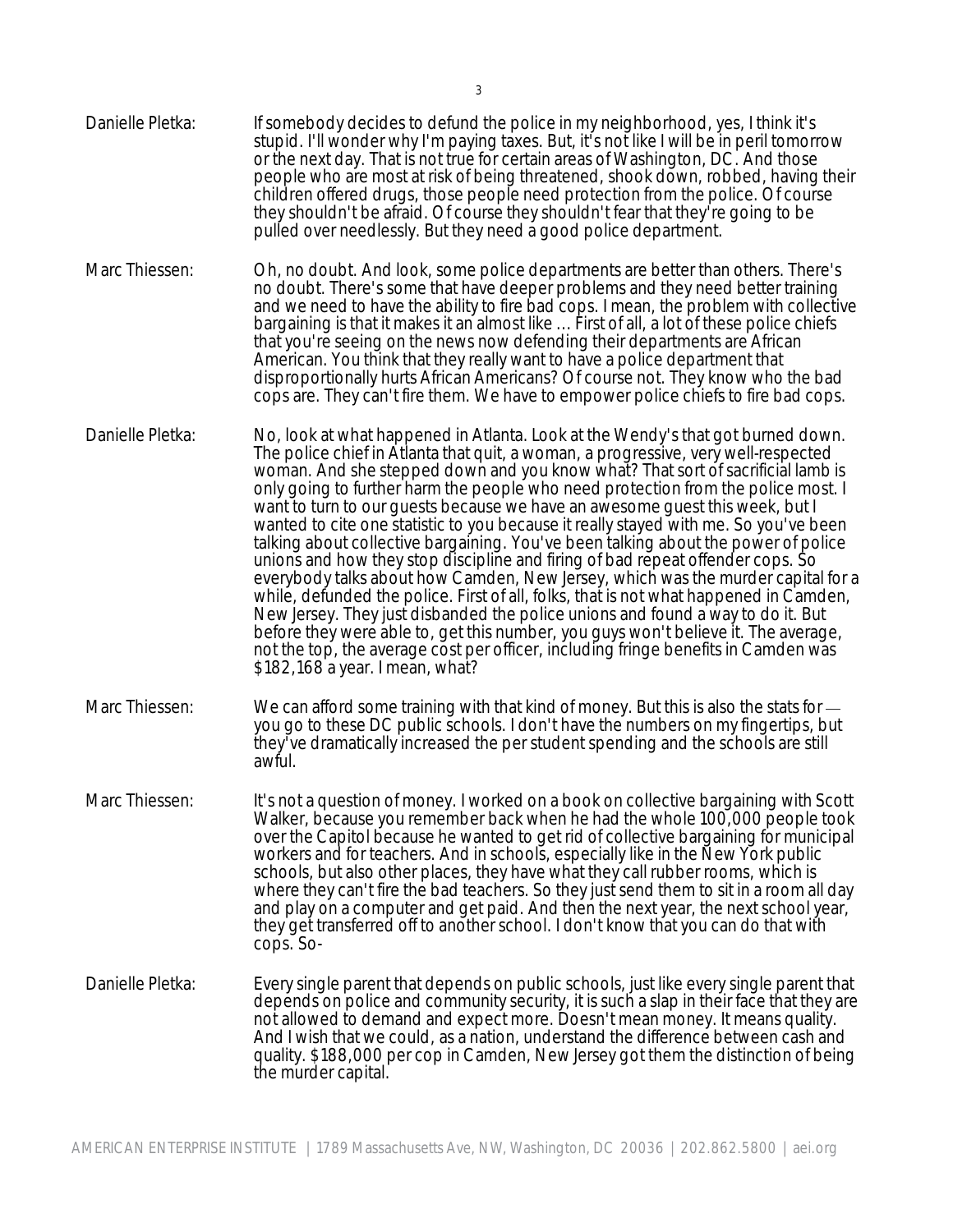- Danielle Pletka: If somebody decides to defund the police in my neighborhood, yes, I think it's stupid. I'll wonder why I'm paying taxes. But, it's not like I will be in peril tomorrow or the next day. That is not true for certain areas of Washington, DC. And those people who are most at risk of being threatened, shook down, robbed, having their children offered drugs, those people need protection from the police. Of course they shouldn't be afraid. Of course they shouldn't fear that they're going to be pulled over needlessly. But they need a good police department.
- Marc Thiessen: Oh, no doubt. And look, some police departments are better than others. There's no doubt. There's some that have deeper problems and they need better training and we need to have the ability to fire bad cops. I mean, the problem with collective bargaining is that it makes it an almost like ... First of all, a lot of these police chiefs that you're seeing on the news now defending their departments are African American. You think that they really want to have a police department that disproportionally hurts African Americans? Of course not. They know who the bad cops are. They can't fire them. We have to empower police chiefs to fire bad cops.
- Danielle Pletka: No, look at what happened in Atlanta. Look at the Wendy's that got burned down. The police chief in Atlanta that quit, a woman, a progressive, very well-respected woman. And she stepped down and you know what? That sort of sacrificial lamb is only going to further harm the people who need protection from the police most. I want to turn to our guests because we have an awesome guest this week, but I wanted to cite one statistic to you because it really stayed with me. So you've been talking about collective bargaining. You've been talking about the power of police unions and how they stop discipline and firing of bad repeat offender cops. So everybody talks about how Camden, New Jersey, which was the murder capital for a while, defunded the police. First of all, folks, that is not what happened in Camden, New Jersey. They just disbanded the police unions and found a way to do it. But before they were able to, get this number, you guys won't believe it. The average, not the top, the average cost per officer, including fringe benefits in Camden was \$182,168 a year. I mean, what?
- Marc Thiessen: We can afford some training with that kind of money. But this is also the stats for  $$ you go to these DC public schools. I don't have the numbers on my fingertips, but they've dramatically increased the per student spending and the schools are still awful.
- Marc Thiessen: It's not a question of money. I worked on a book on collective bargaining with Scott Walker, because you remember back when he had the whole 100,000 people took over the Capitol because he wanted to get rid of collective bargaining for municipal workers and for teachers. And in schools, especially like in the New York public schools, but also other places, they have what they call rubber rooms, which is where they can't fire the bad teachers. So they just send them to sit in a room all day and play on a computer and get paid. And then the next year, the next school year, they get transferred off to another school. I don't know that you can do that with cops. So-
- Danielle Pletka: Every single parent that depends on public schools, just like every single parent that depends on police and community security, it is such a slap in their face that they are not allowed to demand and expect more. Doesn't mean money. It means quality. And I wish that we could, as a nation, understand the difference between cash and quality. \$188,000 per cop in Camden, New Jersey got them the distinction of being the murder capital.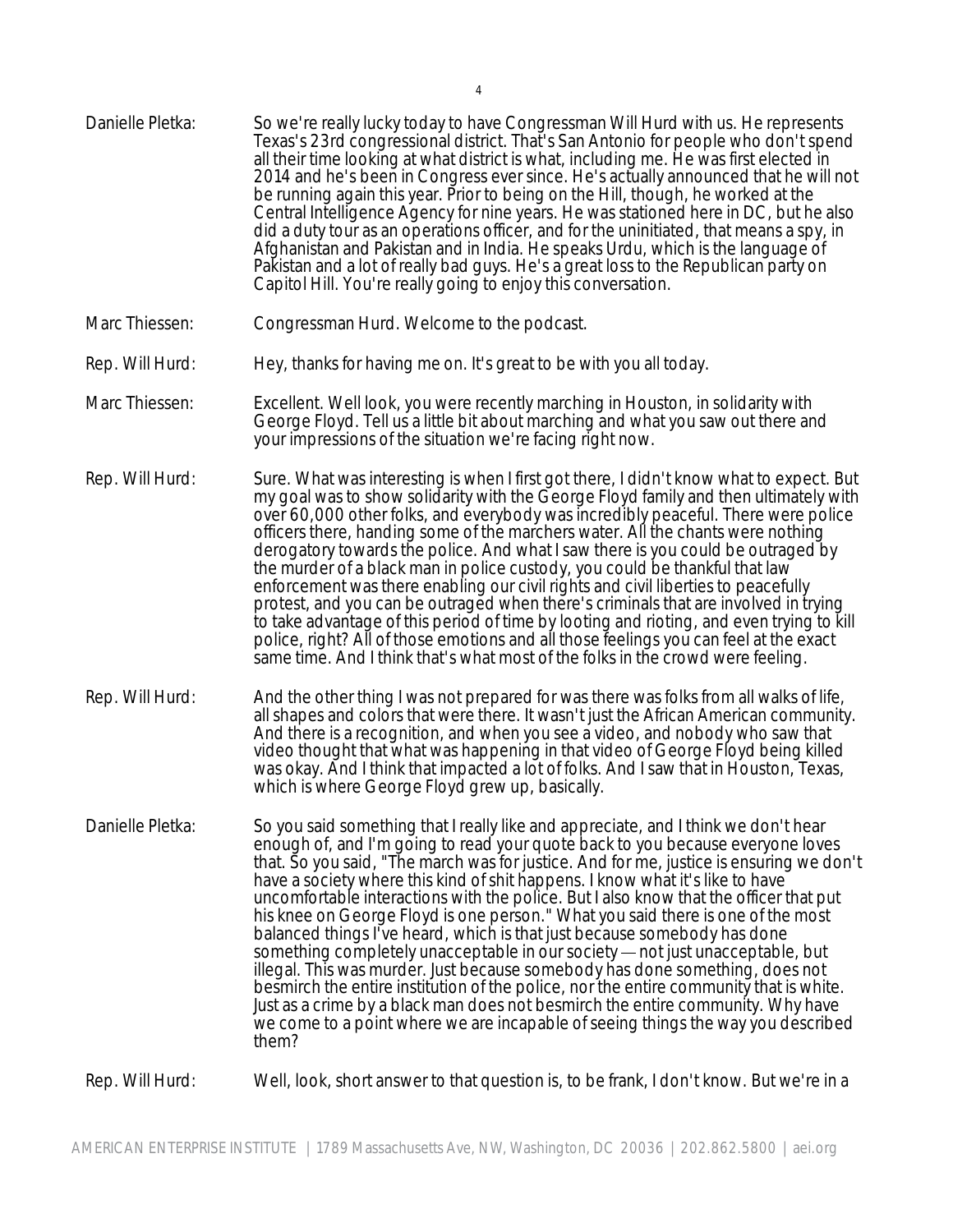| Danielle Pletka: | So we're really lucky today to have Congressman Will Hurd with us. He represents<br>Texas's 23rd congressional district. That's San Antonio for people who don't spend<br>all their time looking at what district is what, including me. He was first elected in<br>2014 and he's been in Congress ever since. He's actually announced that he will not<br>be running again this year. Prior to being on the Hill, though, he worked at the<br>Central Intelligence Agency for nine years. He was stationed here in DC, but he also<br>did a duty tour as an operations officer, and for the uninitiated, that means a spy, in<br>Afghanistan and Pakistan and in India. He speaks Urdu, which is the language of<br>Pakistan and a lot of really bad guys. He's a great loss to the Republican party on<br>Capitol Hill. You're really going to enjoy this conversation.                                                                                                                                                                           |
|------------------|-----------------------------------------------------------------------------------------------------------------------------------------------------------------------------------------------------------------------------------------------------------------------------------------------------------------------------------------------------------------------------------------------------------------------------------------------------------------------------------------------------------------------------------------------------------------------------------------------------------------------------------------------------------------------------------------------------------------------------------------------------------------------------------------------------------------------------------------------------------------------------------------------------------------------------------------------------------------------------------------------------------------------------------------------------|
| Marc Thiessen:   | Congressman Hurd. Welcome to the podcast.                                                                                                                                                                                                                                                                                                                                                                                                                                                                                                                                                                                                                                                                                                                                                                                                                                                                                                                                                                                                           |
| Rep. Will Hurd:  | Hey, thanks for having me on. It's great to be with you all today.                                                                                                                                                                                                                                                                                                                                                                                                                                                                                                                                                                                                                                                                                                                                                                                                                                                                                                                                                                                  |
| Marc Thiessen:   | Excellent. Well look, you were recently marching in Houston, in solidarity with<br>George Floyd. Tell us a little bit about marching and what you saw out there and<br>your impressions of the situation we're facing right now.                                                                                                                                                                                                                                                                                                                                                                                                                                                                                                                                                                                                                                                                                                                                                                                                                    |
| Rep. Will Hurd:  | Sure. What was interesting is when I first got there, I didn't know what to expect. But<br>my goal was to show solidarity with the George Floyd family and then ultimately with<br>over 60,000 other folks, and everybody was incredibly peaceful. There were police<br>officers there, handing some of the marchers water. All the chants were nothing<br>derogatory towards the police. And what I saw there is you could be outraged by<br>the murder of a black man in police custody, you could be thankful that law<br>enforcement was there enabling our civil rights and civil liberties to peacefully<br>protest, and you can be outraged when there's criminals that are involved in trying<br>to take advantage of this period of time by looting and rioting, and even trying to kill<br>police, right? All of those emotions and all those feelings you can feel at the exact<br>same time. And I think that's what most of the folks in the crowd were feeling.                                                                       |
| Rep. Will Hurd:  | And the other thing I was not prepared for was there was folks from all walks of life,<br>all shapes and colors that were there. It wasn't just the African American community.<br>And there is a recognition, and when you see a video, and nobody who saw that<br>video thought that what was happening in that video of George Floyd being killed<br>was okay. And I think that impacted a lot of folks. And I saw that in Houston, Texas,<br>which is where George Floyd grew up, basically.                                                                                                                                                                                                                                                                                                                                                                                                                                                                                                                                                    |
| Danielle Pletka: | So you said something that I really like and appreciate, and I think we don't hear<br>enough of, and I'm going to read your quote back to you because everyone loves<br>that. So you said, "The march was for justice. And for me, justice is ensuring we don't<br>have a society where this kind of shit happens. I know what it's like to have<br>uncomfortable interactions with the police. But I also know that the officer that put<br>his knee on George Floyd is one person." What you said there is one of the most<br>balanced things I've heard, which is that just because somebody has done<br>something completely unacceptable in our society — not just unacceptable, but<br>illegal. This was murder. Just because somebody has done something, does not<br>besmirch the entire institution of the police, nor the entire community that is white.<br>Just as a crime by a black man does not besmirch the entire community. Why have<br>we come to a point where we are incapable of seeing things the way you described<br>them? |
| Rep. Will Hurd:  | Well, look, short answer to that question is, to be frank, I don't know. But we're in a                                                                                                                                                                                                                                                                                                                                                                                                                                                                                                                                                                                                                                                                                                                                                                                                                                                                                                                                                             |
|                  |                                                                                                                                                                                                                                                                                                                                                                                                                                                                                                                                                                                                                                                                                                                                                                                                                                                                                                                                                                                                                                                     |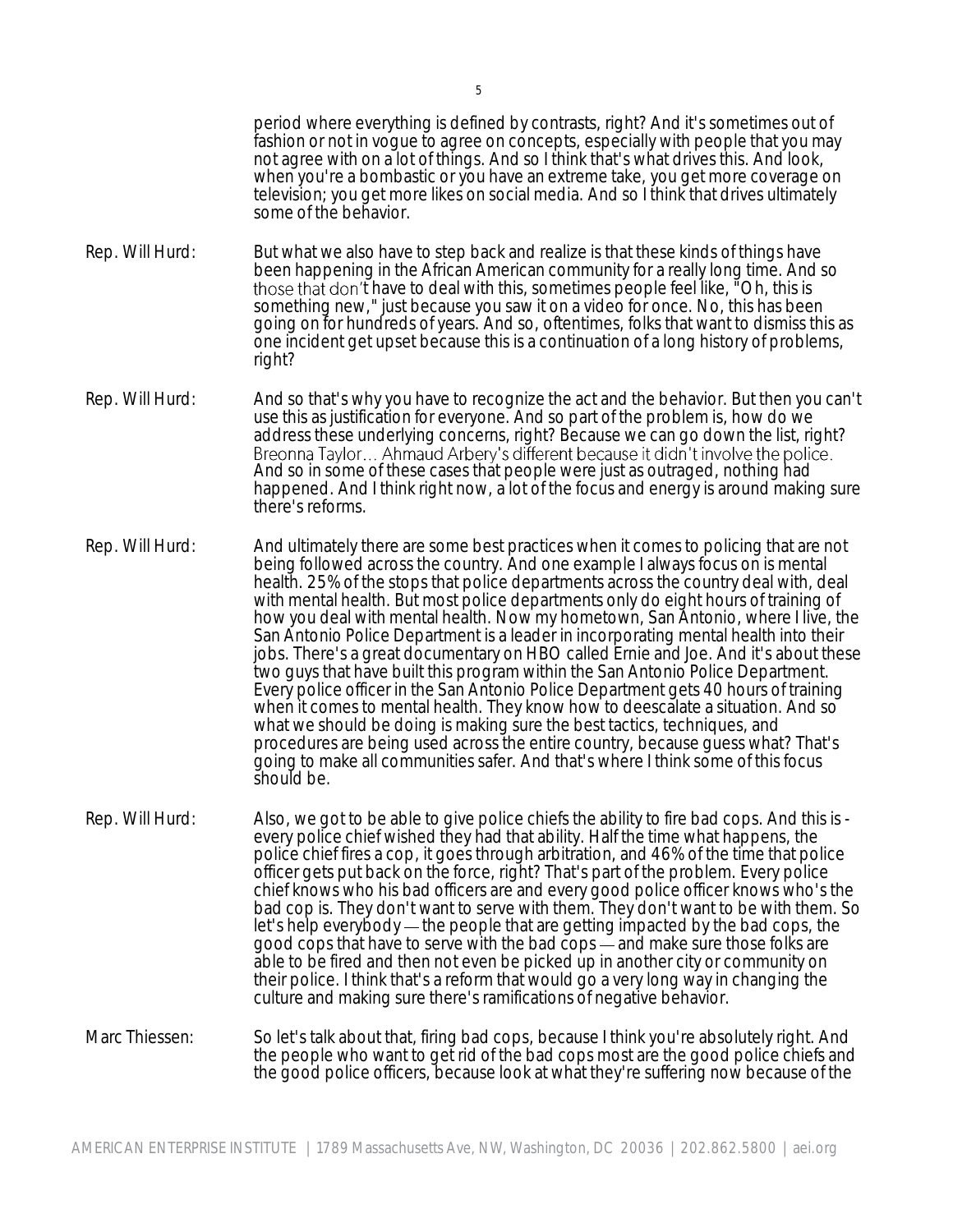period where everything is defined by contrasts, right? And it's sometimes out of fashion or not in vogue to agree on concepts, especially with people that you may not agree with on a lot of things. And so I think that's what drives this. And look, when you're a bombastic or you have an extreme take, you get more coverage on television; you get more likes on social media. And so I think that drives ultimately some of the behavior.

- Rep. Will Hurd: But what we also have to step back and realize is that these kinds of things have been happening in the African American community for a really long time. And so those that don't have to deal with this, sometimes people feel like, "Oh, this is something new," just because you saw it on a video for once. No, this has been going on for hundreds of years. And so, oftentimes, folks that want to dismiss this as one incident get upset because this is a continuation of a long history of problems, right?
- Rep. Will Hurd: And so that's why you have to recognize the act and the behavior. But then you can't use this as justification for everyone. And so part of the problem is, how do we address these underlying concerns, right? Because we can go down the list, right? And so in some of these cases that people were just as outraged, nothing had happened. And I think right now, a lot of the focus and energy is around making sure there's reforms.
- Rep. Will Hurd: And ultimately there are some best practices when it comes to policing that are not being followed across the country. And one example I always focus on is mental health. 25% of the stops that police departments across the country deal with, deal with mental health. But most police departments only do eight hours of training of how you deal with mental health. Now my hometown, San Antonio, where I live, the San Antonio Police Department is a leader in incorporating mental health into their jobs. There's a great documentary on HBO called Ernie and Joe. And it's about these two guys that have built this program within the San Antonio Police Department. Every police officer in the San Antonio Police Department gets 40 hours of training when it comes to mental health. They know how to deescalate a situation. And so what we should be doing is making sure the best tactics, techniques, and procedures are being used across the entire country, because guess what? That's going to make all communities safer. And that's where I think some of this focus should be.
- Rep. Will Hurd: Also, we got to be able to give police chiefs the ability to fire bad cops. And this is every police chief wished they had that ability. Half the time what happens, the police chief fires a cop, it goes through arbitration, and 46% of the time that police officer gets put back on the force, right? That's part of the problem. Every police chief knows who his bad officers are and every good police officer knows who's the bad cop is. They don't want to serve with them. They don't want to be with them. So let's help everybody  $-$  the people that are getting impacted by the bad cops, the good cops that have to serve with the bad cops — and make sure those folks are able to be fired and then not even be picked up in another city or community on their police. I think that's a reform that would go a very long way in changing the culture and making sure there's ramifications of negative behavior.
- Marc Thiessen: So let's talk about that, firing bad cops, because I think you're absolutely right. And the people who want to get rid of the bad cops most are the good police chiefs and the good police officers, because look at what they're suffering now because of the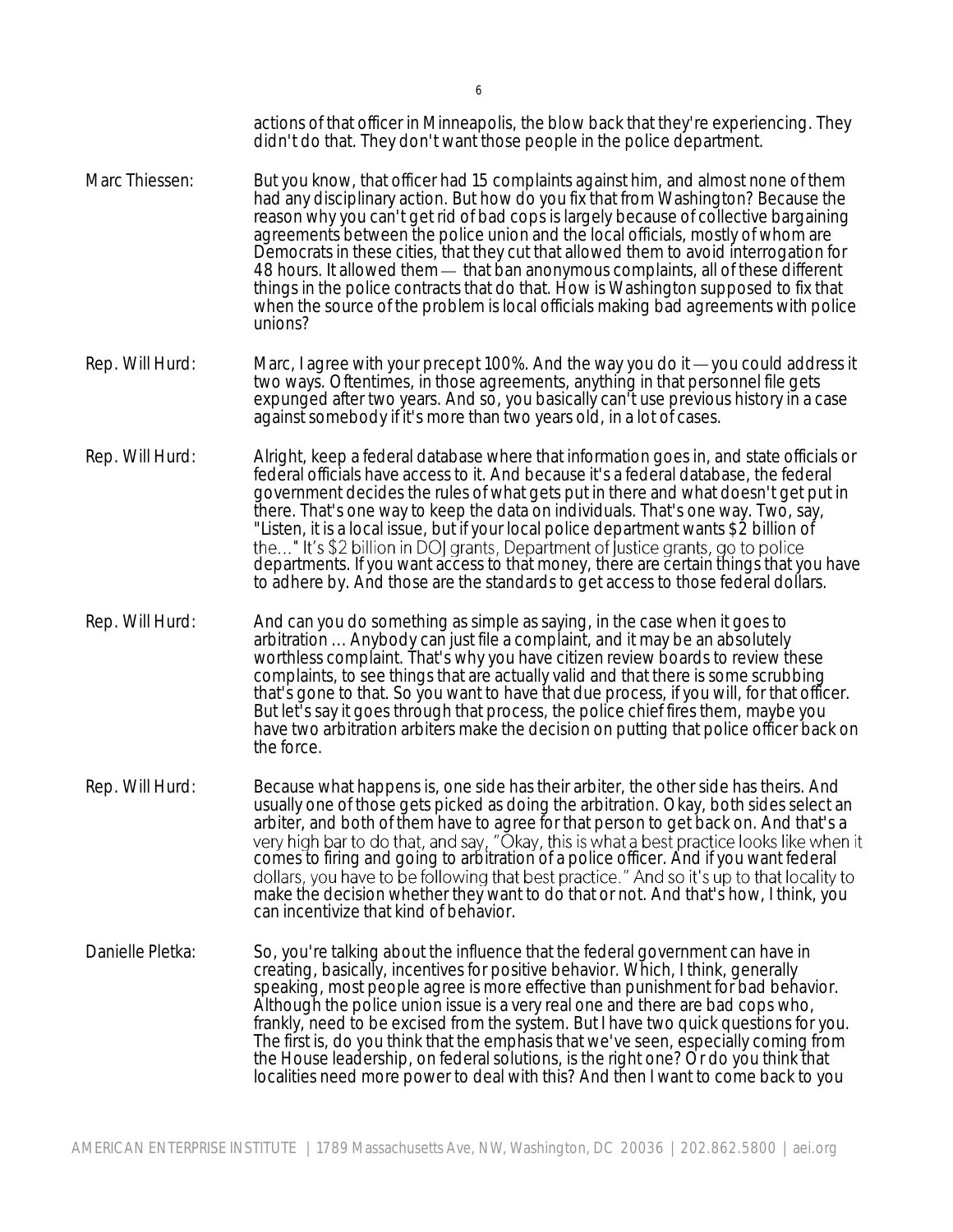|                  | actions of that officer in Minneapolis, the blow back that they're experiencing. They<br>didn't do that. They don't want those people in the police department.                                                                                                                                                                                                                                                                                                                                                                                                                                                                                                                                                          |
|------------------|--------------------------------------------------------------------------------------------------------------------------------------------------------------------------------------------------------------------------------------------------------------------------------------------------------------------------------------------------------------------------------------------------------------------------------------------------------------------------------------------------------------------------------------------------------------------------------------------------------------------------------------------------------------------------------------------------------------------------|
| Marc Thiessen:   | But you know, that officer had 15 complaints against him, and almost none of them<br>had any disciplinary action. But how do you fix that from Washington? Because the<br>reason why you can't get rid of bad cops is largely because of collective bargaining<br>agreements between the police union and the local officials, mostly of whom are<br>Democrats in these cities, that they cut that allowed them to avoid interrogation for<br>48 hours. It allowed them - that ban anonymous complaints, all of these different<br>things in the police contracts that do that. How is Washington supposed to fix that<br>when the source of the problem is local officials making bad agreements with police<br>unions? |
| Rep. Will Hurd:  | Marc, I agree with your precept 100%. And the way you do it — you could address it<br>two ways. Oftentimes, in those agreements, anything in that personnel file gets<br>expunged after two years. And so, you basically can't use previous history in a case<br>against somebody if it's more than two years old, in a lot of cases.                                                                                                                                                                                                                                                                                                                                                                                    |
| Rep. Will Hurd:  | Alright, keep a federal database where that information goes in, and state officials or<br>federal officials have access to it. And because it's a federal database, the federal<br>government decides the rules of what gets put in there and what doesn't get put in<br>there. That's one way to keep the data on individuals. That's one way. Two, say,<br>"Listen, it is a local issue, but if your local police department wants \$2 billion of<br>the" It's \$2 billion in DOJ grants, Department of justice grants, go to police<br>departments. If you want access to that money, there are certain things that you have<br>to adhere by. And those are the standards to get access to those federal dollars.    |
| Rep. Will Hurd:  | And can you do something as simple as saying, in the case when it goes to<br>arbitration  Anybody can just file a complaint, and it may be an absolutely<br>worthless complaint. That's why you have citizen review boards to review these<br>complaints, to see things that are actually valid and that there is some scrubbing<br>that's gone to that. So you want to have that due process, if you will, for that officer.<br>But let's say it goes through that process, the police chief fires them, maybe you<br>have two arbitration arbiters make the decision on putting that police officer back on<br>the force.                                                                                              |
| Rep. Will Hurd:  | Because what happens is, one side has their arbiter, the other side has theirs. And<br>usually one of those gets picked as doing the arbitration. Okay, both sides select an<br>arbiter, and both of them have to agree for that person to get back on. And that's a<br>very high bar to do that, and say, "Okay, this is what a best practice looks like when it<br>comes to firing and going to arbitration of a police officer. And if you want federal<br>dollars, you have to be following that best practice." And so it's up to that locality to<br>make the decision whether they want to do that or not. And that's how, I think, you<br>can incentivize that kind of behavior.                                 |
| Danielle Pletka: | So, you're talking about the influence that the federal government can have in<br>creating, basically, incentives for positive behavior. Which, I think, generally<br>speaking, most people agree is more effective than punishment for bad behavior.<br>Although the police union issue is a very real one and there are bad cops who,<br>frankly, need to be excised from the system. But I have two quick questions for you.<br>The first is, do you think that the emphasis that we've seen, especially coming from<br>the House leadership, on federal solutions, is the right one? Or do you think that<br>localities need more power to deal with this? And then I want to come back to you                       |
|                  |                                                                                                                                                                                                                                                                                                                                                                                                                                                                                                                                                                                                                                                                                                                          |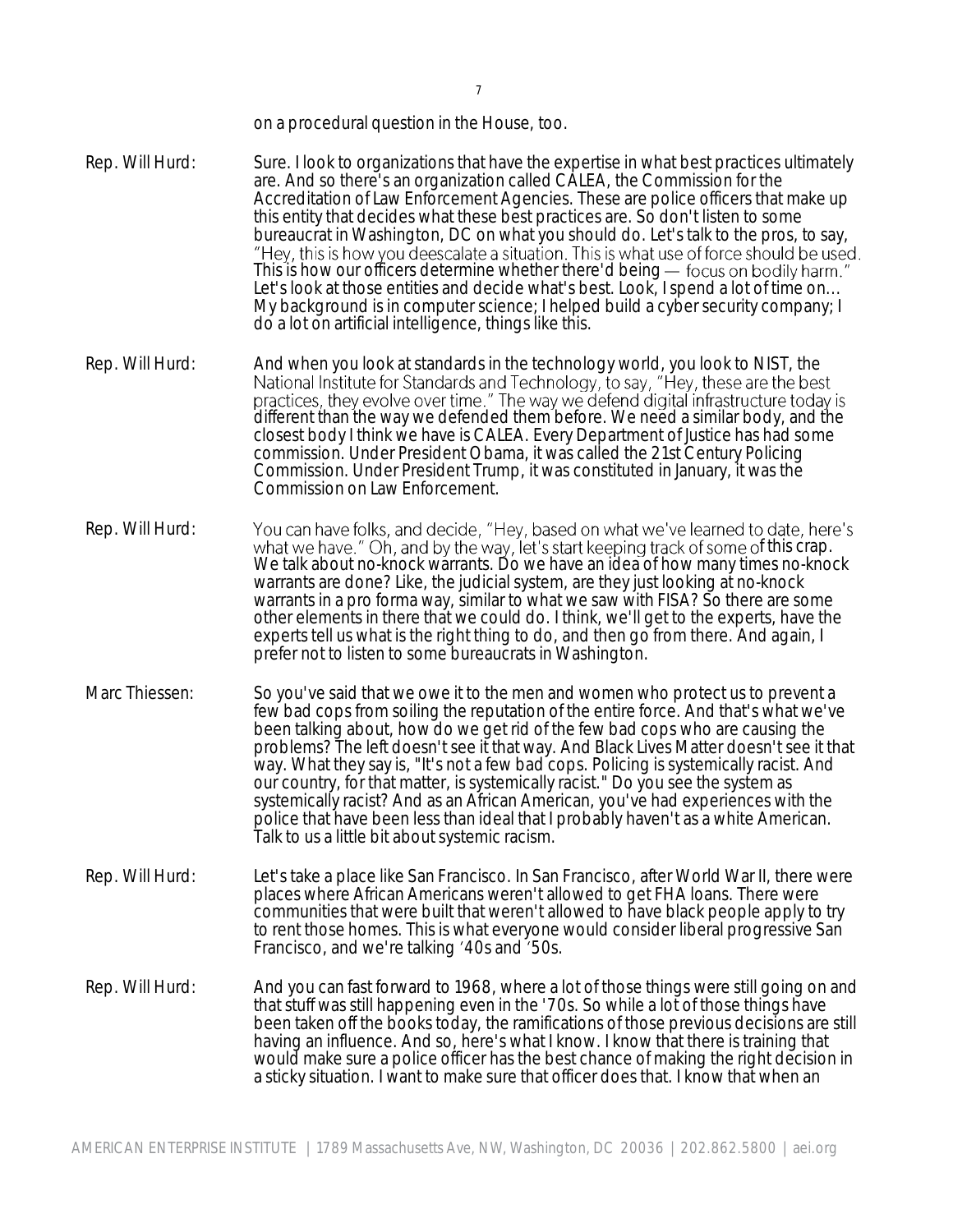on a procedural question in the House, too.

- Rep. Will Hurd: Sure. I look to organizations that have the expertise in what best practices ultimately are. And so there's an organization called CALEA, the Commission for the Accreditation of Law Enforcement Agencies. These are police officers that make up this entity that decides what these best practices are. So don't listen to some bureaucrat in Washington, DC on what you should do. Let's talk to the pros, to say, This is how our officers determine whether there'd being - focus on bodily harm." Let's look at those entities and decide what's best. Look, I spend a lot of time on... My background is in computer science; I helped build a cyber security company; I do a lot on artificial intelligence, things like this.
- Rep. Will Hurd: And when you look at standards in the technology world, you look to NIST, the National Institute for Standards and Technology, to say, "Hey, these are the best practices, they evolve over time." The way we defend digital infrastructure today is different than the way we defended them before. We need a similar body, and the closest body I think we have is CALEA. Every Department of Justice has had some commission. Under President Obama, it was called the 21st Century Policing Commission. Under President Trump, it was constituted in January, it was the Commission on Law Enforcement.
- Rep. Will Hurd: You can have folks, and decide, "Hey, based on what we've learned to date, here's<br>what we have." Oh, and by the way, let's start keeping track of some of this crap. We talk about no-knock warrants. Do we have an idea of how many times no-knock warrants are done? Like, the judicial system, are they just looking at no-knock warrants in a pro forma way, similar to what we saw with FISA? So there are some other elements in there that we could do. I think, we'll get to the experts, have the experts tell us what is the right thing to do, and then go from there. And again, I prefer not to listen to some bureaucrats in Washington.
- Marc Thiessen: So you've said that we owe it to the men and women who protect us to prevent a few bad cops from soiling the reputation of the entire force. And that's what we've been talking about, how do we get rid of the few bad cops who are causing the problems? The left doesn't see it that way. And Black Lives Matter doesn't see it that way. What they say is, "It's not a few bad cops. Policing is systemically racist. And our country, for that matter, is systemically racist." Do you see the system as systemically racist? And as an African American, you've had experiences with the police that have been less than ideal that I probably haven't as a white American. Talk to us a little bit about systemic racism.
- Rep. Will Hurd: Let's take a place like San Francisco. In San Francisco, after World War II, there were places where African Americans weren't allowed to get FHA loans. There were communities that were built that weren't allowed to have black people apply to try to rent those homes. This is what everyone would consider liberal progressive San Francisco, and we're talking '40s and '50s.
- Rep. Will Hurd: And you can fast forward to 1968, where a lot of those things were still going on and that stuff was still happening even in the '70s. So while a lot of those things have been taken off the books today, the ramifications of those previous decisions are still having an influence. And so, here's what I know. I know that there is training that would make sure a police officer has the best chance of making the right decision in a sticky situation. I want to make sure that officer does that. I know that when an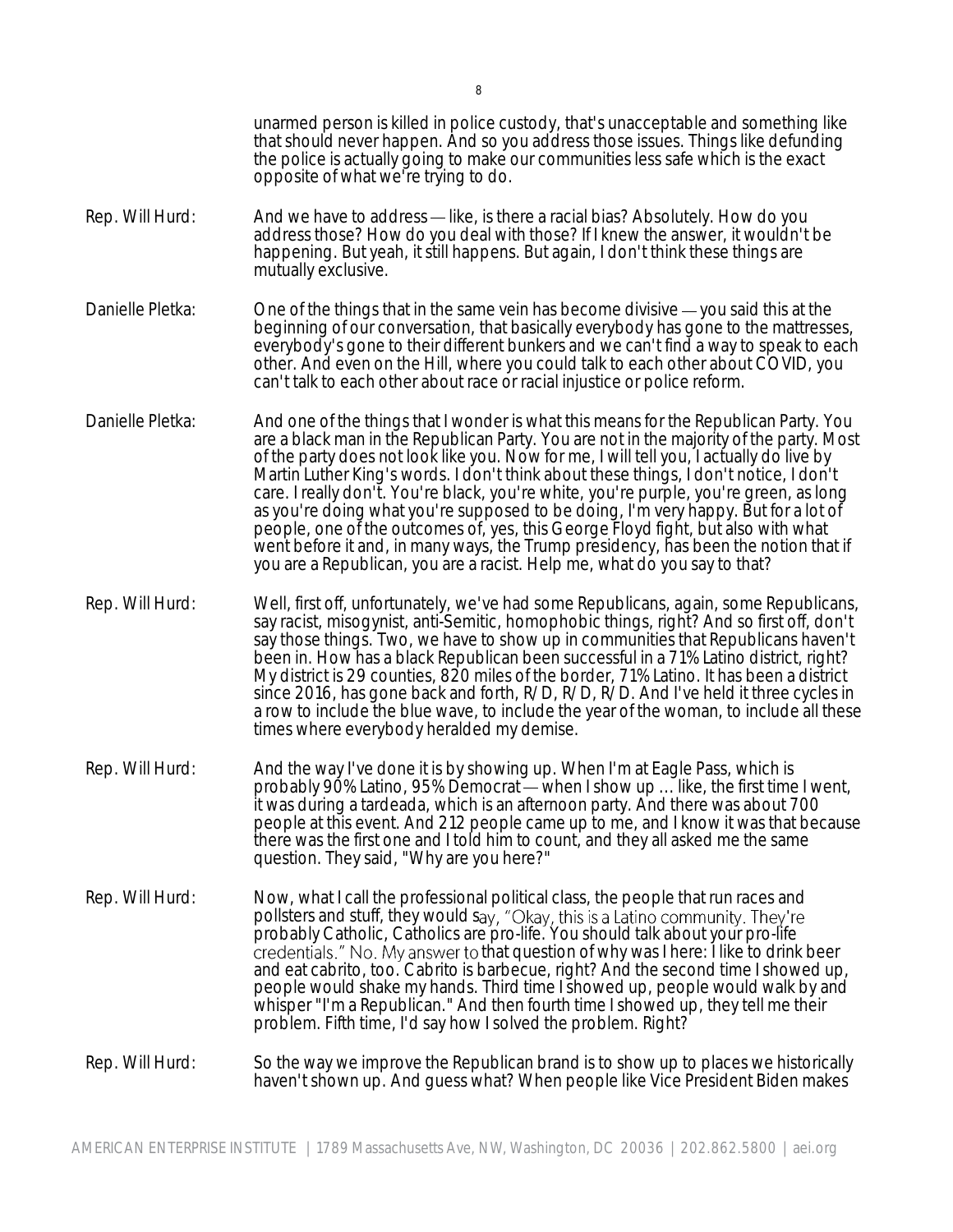|                  | unarmed person is killed in police custody, that's unacceptable and something like<br>that should never happen. And so you address those issues. Things like defunding<br>the police is actually going to make our communities less safe which is the exact<br>opposite of what we're trying to do.                                                                                                                                                                                                                                                                                                                                                                                                                                                                                                         |
|------------------|-------------------------------------------------------------------------------------------------------------------------------------------------------------------------------------------------------------------------------------------------------------------------------------------------------------------------------------------------------------------------------------------------------------------------------------------------------------------------------------------------------------------------------------------------------------------------------------------------------------------------------------------------------------------------------------------------------------------------------------------------------------------------------------------------------------|
| Rep. Will Hurd:  | And we have to address — like, is there a racial bias? Absolutely. How do you<br>address those? How do you deal with those? If I knew the answer, it wouldn't be<br>happening. But yeah, it still happens. But again, I don't think these things are<br>mutually exclusive.                                                                                                                                                                                                                                                                                                                                                                                                                                                                                                                                 |
| Danielle Pletka: | One of the things that in the same vein has become divisive - you said this at the<br>beginning of our conversation, that basically everybody has gone to the mattresses,<br>everybody's gone to their different bunkers and we can't find a way to speak to each<br>other. And even on the Hill, where you could talk to each other about COVID, you<br>can't talk to each other about race or racial injustice or police reform.                                                                                                                                                                                                                                                                                                                                                                          |
| Danielle Pletka: | And one of the things that I wonder is what this means for the Republican Party. You<br>are a black man in the Republican Party. You are not in the majority of the party. Most<br>of the party does not look like you. Now for me, I will tell you, I actually do live by<br>Martin Luther King's words. I don't think about these things, I don't notice, I don't<br>care. I really don't. You're black, you're white, you're purple, you're green, as long<br>as you're doing what you're supposed to be doing, I'm very happy. But for a lot of<br>people, one of the outcomes of, yes, this George Floyd fight, but also with what<br>went before it and, in many ways, the Trump presidency, has been the notion that if<br>you are a Republican, you are a racist. Help me, what do you say to that? |
| Rep. Will Hurd:  | Well, first off, unfortunately, we've had some Republicans, again, some Republicans,<br>say racist, misogynist, anti-Semitic, homophobic things, right? And so first off, don't<br>say those things. Two, we have to show up in communities that Republicans haven't<br>been in. How has a black Republican been successful in a 71% Latino district, right?<br>My district is 29 counties, 820 miles of the border, 71% Latino. It has been a district<br>since 2016, has gone back and forth, R/D, R/D, R/D. And I've held it three cycles in<br>a row to include the blue wave, to include the year of the woman, to include all these<br>times where everybody heralded my demise.                                                                                                                      |
| Rep. Will Hurd:  | And the way I've done it is by showing up. When I'm at Eagle Pass, which is<br>probably 90% Latino, 95% Democrat — when I show up  like, the first time I went,<br>it was during a tardeada, which is an afternoon party. And there was about 700<br>people at this event. And 212 people came up to me, and I know it was that because<br>there was the first one and I told him to count, and they all asked me the same<br>question. They said, "Why are you here?"                                                                                                                                                                                                                                                                                                                                      |
| Rep. Will Hurd:  | Now, what I call the professional political class, the people that run races and<br>pollsters and stuff, they would say, "Okay, this is a Latino community. They're<br>probably Catholic, Catholics are pro-life. You should talk about your pro-life<br>credentials." No. My answer to that question of why was I here: I like to drink beer<br>and eat cabrito, too. Cabrito is barbecue, right? And the second time I showed up,<br>people would shake my hands. Third time I showed up, people would walk by and<br>whisper "I'm a Republican." And then fourth time I showed up, they tell me their<br>problem. Fifth time, I'd say how I solved the problem. Right?                                                                                                                                   |
| Rep. Will Hurd:  | So the way we improve the Republican brand is to show up to places we historically<br>haven't shown up. And guess what? When people like Vice President Biden makes                                                                                                                                                                                                                                                                                                                                                                                                                                                                                                                                                                                                                                         |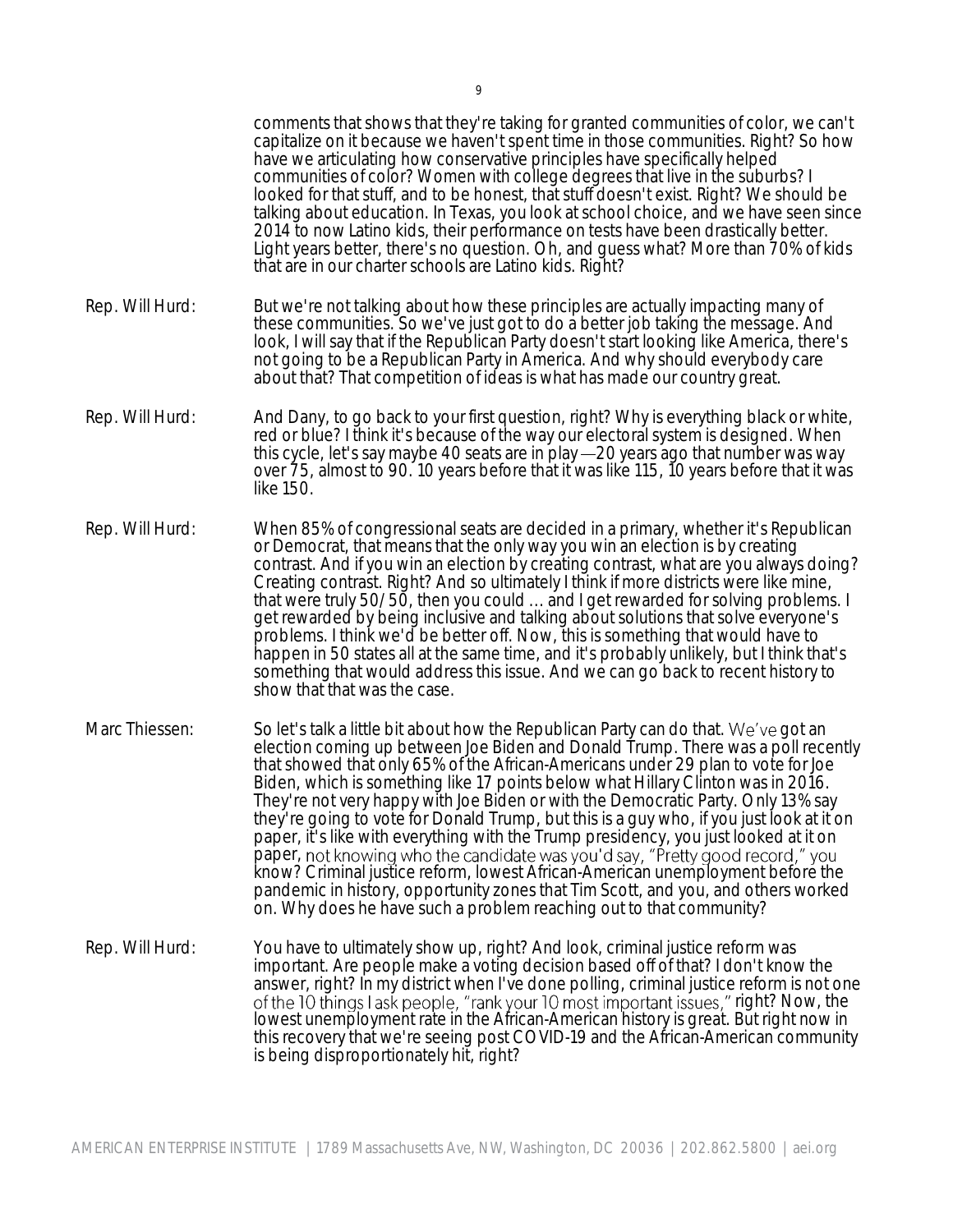comments that shows that they're taking for granted communities of color, we can't capitalize on it because we haven't spent time in those communities. Right? So how have we articulating how conservative principles have specifically helped communities of color? Women with college degrees that live in the suburbs? I looked for that stuff, and to be honest, that stuff doesn't exist. Right? We should be talking about education. In Texas, you look at school choice, and we have seen since 2014 to now Latino kids, their performance on tests have been drastically better. Light years better, there's no question. Oh, and guess what? More than 70% of kids that are in our charter schools are Latino kids. Right? Rep. Will Hurd: But we're not talking about how these principles are actually impacting many of these communities. So we've just got to do a better job taking the message. And look, I will say that if the Republican Party doesn't start looking like America, there's not going to be a Republican Party in America. And why should everybody care about that? That competition of ideas is what has made our country great. Rep. Will Hurd: And Dany, to go back to your first question, right? Why is everything black or white, red or blue? I think it's because of the way our electoral system is designed. When this cycle, let's say maybe 40 seats are in play -20 years ago that number was way over 75, almost to 90. 10 years before that it was like 115, 10 years before that it was like 150. Rep. Will Hurd: When 85% of congressional seats are decided in a primary, whether it's Republican or Democrat, that means that the only way you win an election is by creating contrast. And if you win an election by creating contrast, what are you always doing? Creating contrast. Right? And so ultimately I think if more districts were like mine, that were truly 50/50, then you could ... and I get rewarded for solving problems. I get rewarded by being inclusive and talking about solutions that solve everyone's problems. I think we'd be better off. Now, this is something that would have to happen in 50 states all at the same time, and it's probably unlikely, but I think that's something that would address this issue. And we can go back to recent history to show that that was the case. Marc Thiessen: So let's talk a little bit about how the Republican Party can do that. We've got an election coming up between Joe Biden and Donald Trump. There was a poll recently that showed that only 65% of the African-Americans under 29 plan to vote for Joe Biden, which is something like 17 points below what Hillary Clinton was in 2016. They're not very happy with Joe Biden or with the Democratic Party. Only 13% say they're going to vote for Donald Trump, but this is a guy who, if you just look at it on paper, it's like with everything with the Trump presidency, you just looked at it on paper, not knowing who the candidate was you'd say, "Pretty good record," you know? Criminal justice reform, lowest African-American unemployment before the pandemic in history, opportunity zones that Tim Scott, and you, and others worked on. Why does he have such a problem reaching out to that community? Rep. Will Hurd: You have to ultimately show up, right? And look, criminal justice reform was important. Are people make a voting decision based off of that? I don't know the answer, right? In my district when I've done polling, criminal justice reform is not one of the 10 things I ask people, "rank your 10 most important issues," right? Now, the lowest unemployment rate in the African-American history is great. But right now in this recovery that we're seeing post COVID-19 and the African-American community is being disproportionately hit, right?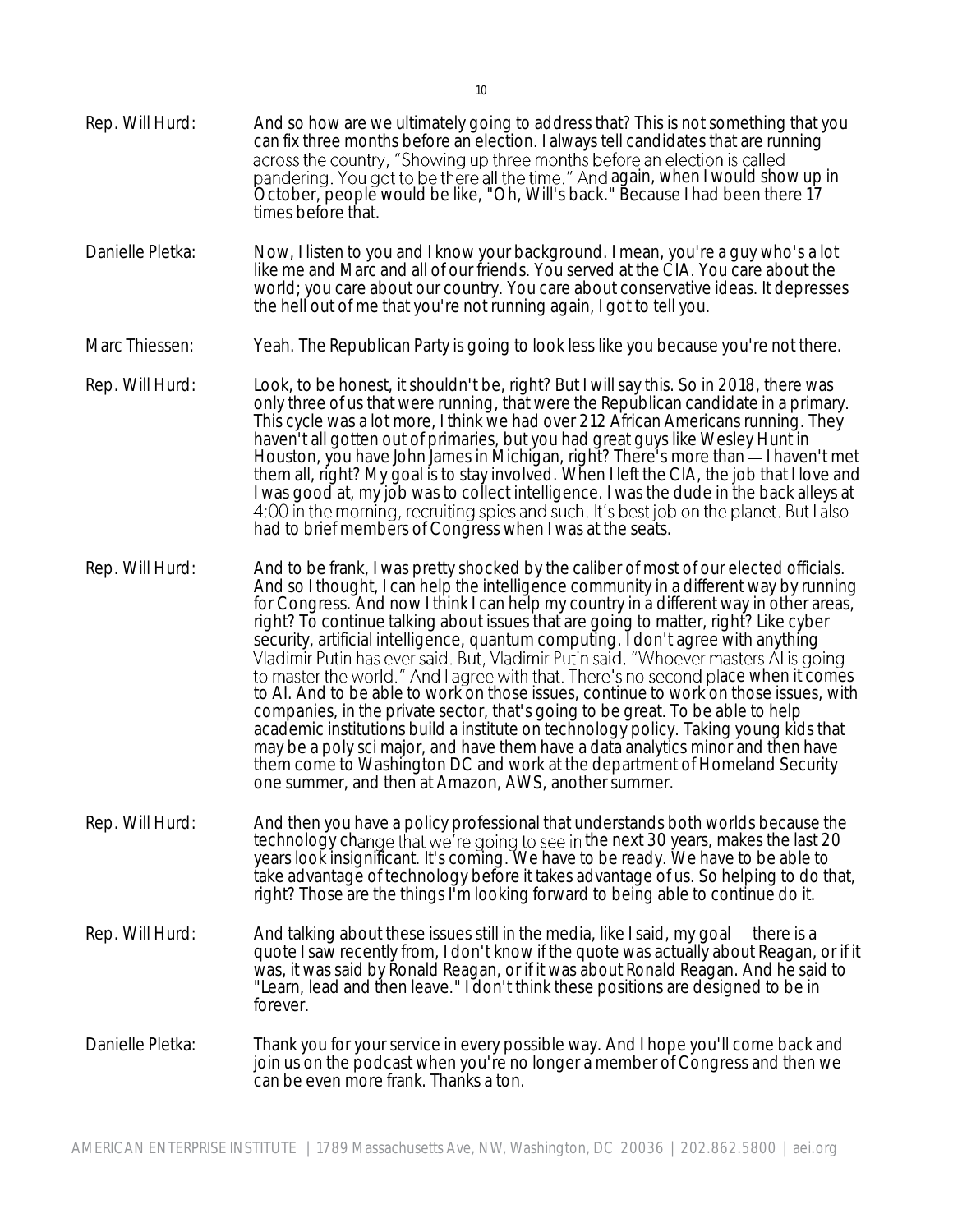Rep. Will Hurd: And so how are we ultimately going to address that? This is not something that you can fix three months before an election. I always tell candidates that are running across the country, "Showing up three months before an election is called pandering. You got to be there all the time." And again, when I would show up in October, people would be like, "Oh, Will's back." Because I had been there 17 times before that. Danielle Pletka: Now, I listen to you and I know your background. I mean, you're a guy who's a lot like me and Marc and all of our friends. You served at the CIA. You care about the world; you care about our country. You care about conservative ideas. It depresses the hell out of me that you're not running again, I got to tell you. Marc Thiessen: Yeah. The Republican Party is going to look less like you because you're not there. Rep. Will Hurd: Look, to be honest, it shouldn't be, right? But I will say this. So in 2018, there was only three of us that were running, that were the Republican candidate in a primary. This cycle was a lot more, I think we had over 212 African Americans running. They haven't all gotten out of primaries, but you had great guys like Wesley Hunt in Houston, you have John James in Michigan, right? There's more than — I haven't met them all, right? My goal is to stay involved. When I left the CIA, the job that I love and I was good at, my job was to collect intelligence. I was the dude in the back alleys at 4:00 in the morning, recruiting spies and such. It's best job on the planet. But I also had to brief members of Congress when I was at the seats. Rep. Will Hurd: And to be frank, I was pretty shocked by the caliber of most of our elected officials. And so I thought, I can help the intelligence community in a different way by running for Congress. And now I think I can help my country in a different way in other areas, right? To continue talking about issues that are going to matter, right? Like cyber security, artificial intelligence, quantum computing. I don't agree with anything<br>Vladimir Putin has ever said. But, Vladimir Putin said, "Whoever masters AI is going to master the world." And I agree with that. There's no second place when it comes to AI. And to be able to work on those issues, continue to work on those issues, with companies, in the private sector, that's going to be great. To be able to help academic institutions build a institute on technology policy. Taking young kids that may be a poly sci major, and have them have a data analytics minor and then have them come to Washington DC and work at the department of Homeland Security one summer, and then at Amazon, AWS, another summer. Rep. Will Hurd: And then you have a policy professional that understands both worlds because the technology change that we're going to see in the next 30 years, makes the last 20 years look insignificant. It's coming. We have to be ready. We have to be able to take advantage of technology before it takes advantage of us. So helping to do that, right? Those are the things I'm looking forward to being able to continue do it. Rep. Will Hurd: And talking about these issues still in the media, like I said, my goal — there is a quote I saw recently from, I don't know if the quote was actually about Reagan, or if it was, it was said by Ronald Reagan, or if it was about Ronald Reagan. And he said to "Learn, lead and then leave." I don't think these positions are designed to be in forever. Danielle Pletka: Thank you for your service in every possible way. And I hope you'll come back and join us on the podcast when you're no longer a member of Congress and then we can be even more frank. Thanks a ton.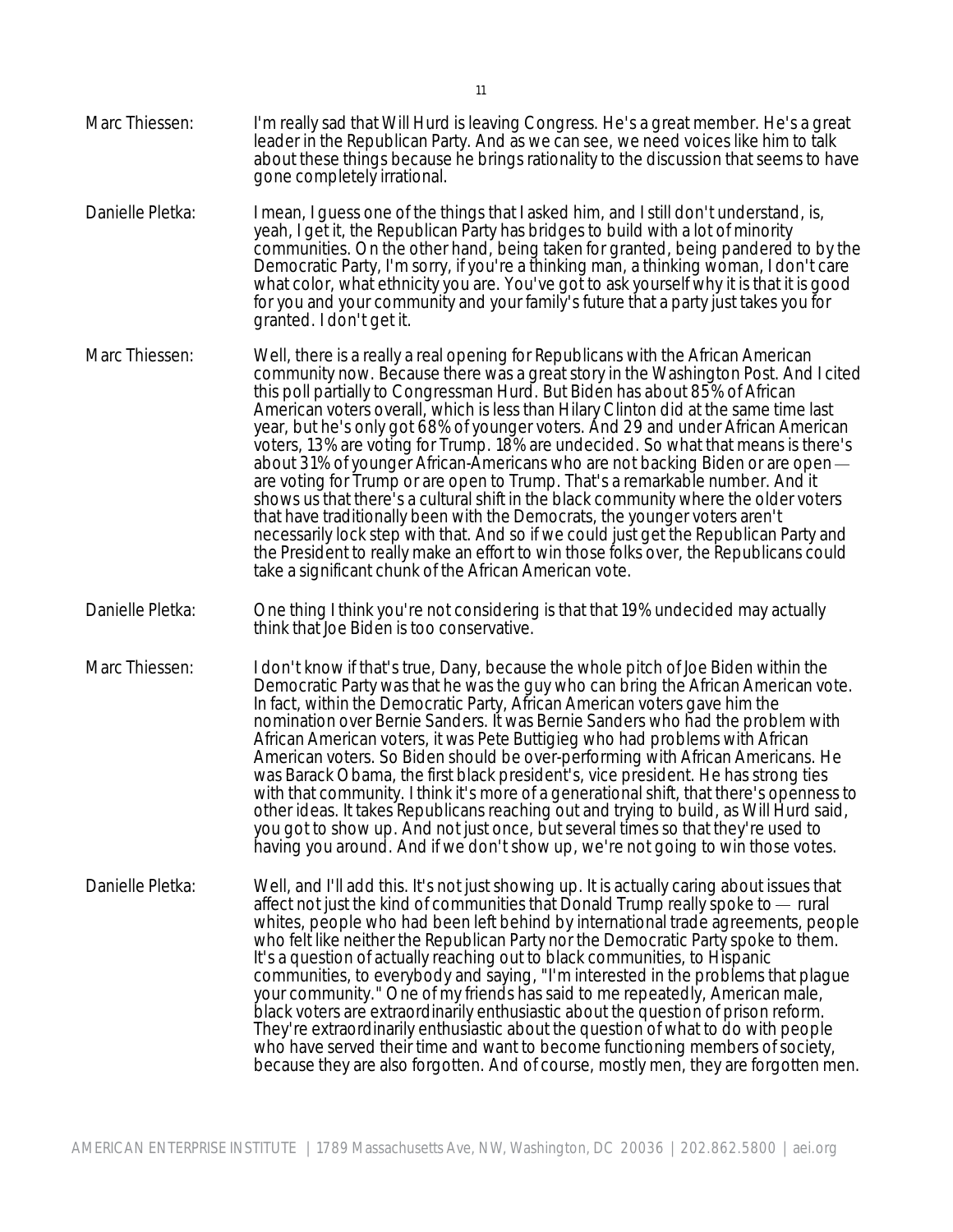- Marc Thiessen: I'm really sad that Will Hurd is leaving Congress. He's a great member. He's a great leader in the Republican Party. And as we can see, we need voices like him to talk about these things because he brings rationality to the discussion that seems to have gone completely irrational.
- Danielle Pletka: I mean, I guess one of the things that I asked him, and I still don't understand, is, yeah, I get it, the Republican Party has bridges to build with a lot of minority communities. On the other hand, being taken for granted, being pandered to by the Democratic Party, I'm sorry, if you're a thinking man, a thinking woman, I don't care what color, what ethnicity you are. You've got to ask yourself why it is that it is good for you and your community and your family's future that a party just takes you for granted. I don't get it.
- Marc Thiessen: Well, there is a really a real opening for Republicans with the African American community now. Because there was a great story in the Washington Post. And I cited this poll partially to Congressman Hurd. But Biden has about 85% of African American voters overall, which is less than Hilary Clinton did at the same time last year, but he's only got 68% of younger voters. And 29 and under African American voters, 13% are voting for Trump. 18% are undecided. So what that means is there's about 31% of younger African-Americans who are not backing Biden or are open are voting for Trump or are open to Trump. That's a remarkable number. And it shows us that there's a cultural shift in the black community where the older voters that have traditionally been with the Democrats, the younger voters aren't necessarily lock step with that. And so if we could just get the Republican Party and the President to really make an effort to win those folks over, the Republicans could take a significant chunk of the African American vote.
- Danielle Pletka: One thing I think you're not considering is that that 19% undecided may actually think that Joe Biden is too conservative.
- Marc Thiessen: I don't know if that's true, Dany, because the whole pitch of Joe Biden within the Democratic Party was that he was the guy who can bring the African American vote. In fact, within the Democratic Party, African American voters gave him the nomination over Bernie Sanders. It was Bernie Sanders who had the problem with African American voters, it was Pete Buttigieg who had problems with African American voters. So Biden should be over-performing with African Americans. He was Barack Obama, the first black president's, vice president. He has strong ties with that community. I think it's more of a generational shift, that there's openness to other ideas. It takes Republicans reaching out and trying to build, as Will Hurd said, you got to show up. And not just once, but several times so that they're used to having you around. And if we don't show up, we're not going to win those votes.
- Danielle Pletka: Well, and I'll add this. It's not just showing up. It is actually caring about issues that affect not just the kind of communities that Donald Trump really spoke to  $-$  rural whites, people who had been left behind by international trade agreements, people who felt like neither the Republican Party nor the Democratic Party spoke to them. It's a question of actually reaching out to black communities, to Hispanic communities, to everybody and saying, "I'm interested in the problems that plague your community." One of my friends has said to me repeatedly, American male, black voters are extraordinarily enthusiastic about the question of prison reform. They're extraordinarily enthusiastic about the question of what to do with people who have served their time and want to become functioning members of society, because they are also forgotten. And of course, mostly men, they are forgotten men.